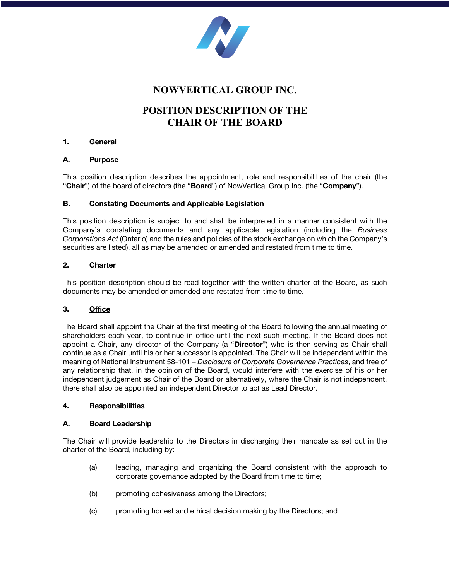

# **NOWVERTICAL GROUP INC.**

# **POSITION DESCRIPTION OF THE CHAIR OF THE BOARD**

## **1. General**

## **A. Purpose**

This position description describes the appointment, role and responsibilities of the chair (the "**Chair**") of the board of directors (the "**Board**") of NowVertical Group Inc. (the "**Company**").

## **B. Constating Documents and Applicable Legislation**

This position description is subject to and shall be interpreted in a manner consistent with the Company's constating documents and any applicable legislation (including the *Business Corporations Act* (Ontario) and the rules and policies of the stock exchange on which the Company's securities are listed), all as may be amended or amended and restated from time to time.

## **2. Charter**

This position description should be read together with the written charter of the Board, as such documents may be amended or amended and restated from time to time.

## **3. Office**

The Board shall appoint the Chair at the first meeting of the Board following the annual meeting of shareholders each year, to continue in office until the next such meeting. If the Board does not appoint a Chair, any director of the Company (a "**Director**") who is then serving as Chair shall continue as a Chair until his or her successor is appointed. The Chair will be independent within the meaning of National Instrument 58-101 – *Disclosure of Corporate Governance Practices*, and free of any relationship that, in the opinion of the Board, would interfere with the exercise of his or her independent judgement as Chair of the Board or alternatively, where the Chair is not independent, there shall also be appointed an independent Director to act as Lead Director.

## **4. Responsibilities**

#### **A. Board Leadership**

The Chair will provide leadership to the Directors in discharging their mandate as set out in the charter of the Board, including by:

- (a) leading, managing and organizing the Board consistent with the approach to corporate governance adopted by the Board from time to time;
- (b) promoting cohesiveness among the Directors;
- (c) promoting honest and ethical decision making by the Directors; and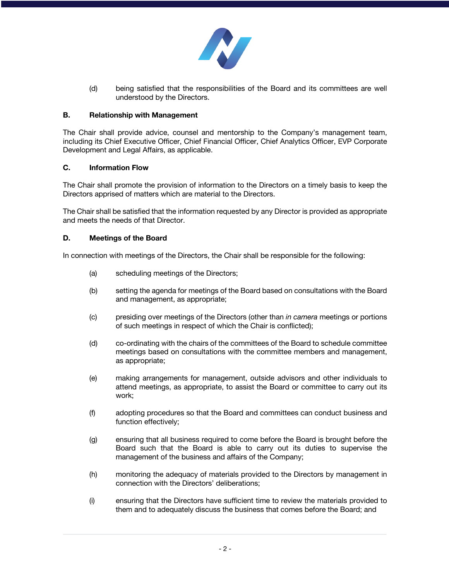

(d) being satisfied that the responsibilities of the Board and its committees are well understood by the Directors.

## **B. Relationship with Management**

The Chair shall provide advice, counsel and mentorship to the Company's management team, including its Chief Executive Officer, Chief Financial Officer, Chief Analytics Officer, EVP Corporate Development and Legal Affairs, as applicable.

## **C. Information Flow**

The Chair shall promote the provision of information to the Directors on a timely basis to keep the Directors apprised of matters which are material to the Directors.

The Chair shall be satisfied that the information requested by any Director is provided as appropriate and meets the needs of that Director.

## **D. Meetings of the Board**

In connection with meetings of the Directors, the Chair shall be responsible for the following:

- (a) scheduling meetings of the Directors;
- (b) setting the agenda for meetings of the Board based on consultations with the Board and management, as appropriate;
- (c) presiding over meetings of the Directors (other than *in camera* meetings or portions of such meetings in respect of which the Chair is conflicted);
- (d) co-ordinating with the chairs of the committees of the Board to schedule committee meetings based on consultations with the committee members and management, as appropriate;
- (e) making arrangements for management, outside advisors and other individuals to attend meetings, as appropriate, to assist the Board or committee to carry out its work;
- (f) adopting procedures so that the Board and committees can conduct business and function effectively;
- (g) ensuring that all business required to come before the Board is brought before the Board such that the Board is able to carry out its duties to supervise the management of the business and affairs of the Company;
- (h) monitoring the adequacy of materials provided to the Directors by management in connection with the Directors' deliberations;
- (i) ensuring that the Directors have sufficient time to review the materials provided to them and to adequately discuss the business that comes before the Board; and